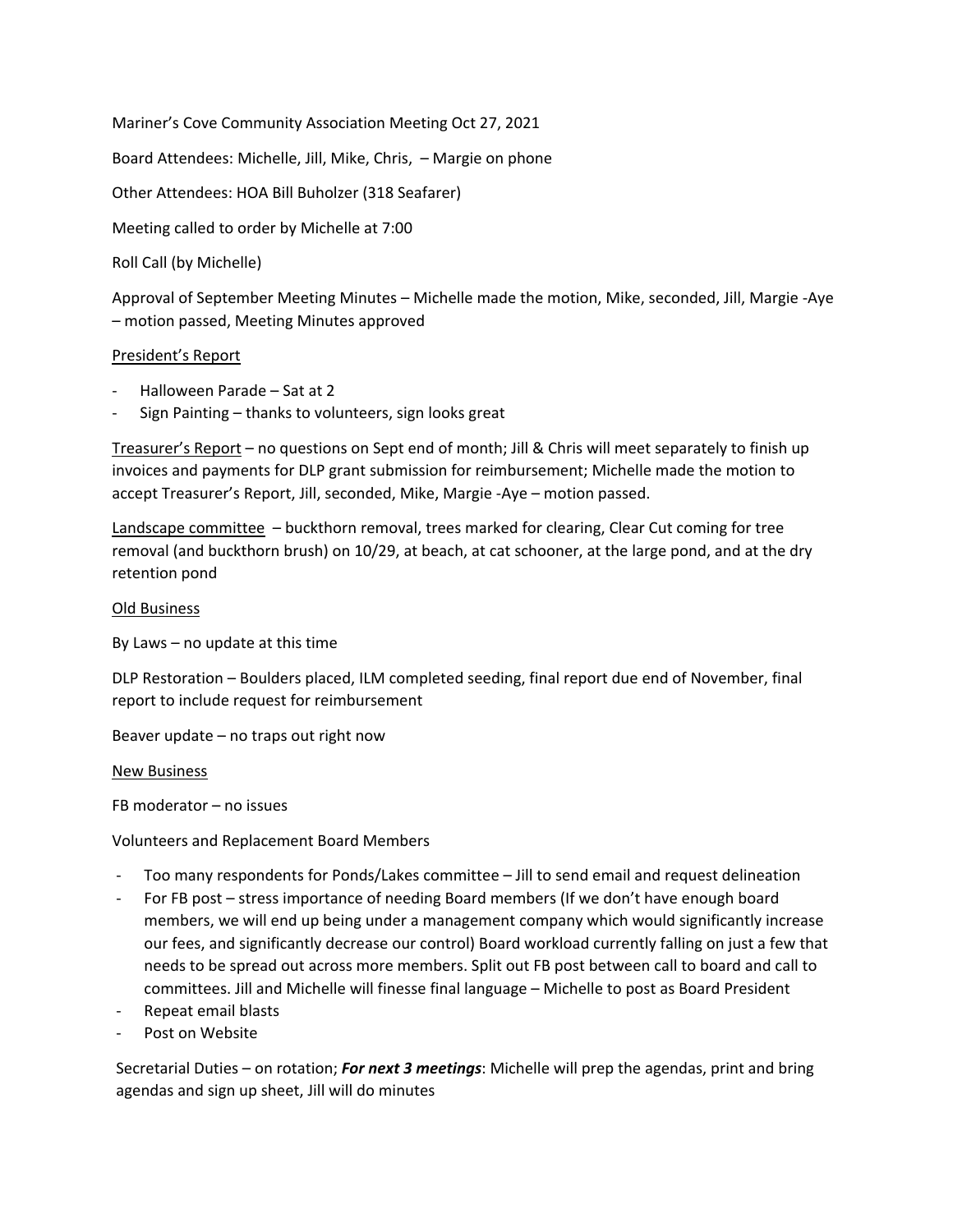Mariner's Cove Community Association Meeting Oct 27, 2021

Board Attendees: Michelle, Jill, Mike, Chris, – Margie on phone

Other Attendees: HOA Bill Buholzer (318 Seafarer)

Meeting called to order by Michelle at 7:00

Roll Call (by Michelle)

Approval of September Meeting Minutes – Michelle made the motion, Mike, seconded, Jill, Margie -Aye – motion passed, Meeting Minutes approved

## President's Report

- Halloween Parade Sat at 2
- Sign Painting thanks to volunteers, sign looks great

Treasurer's Report – no questions on Sept end of month; Jill & Chris will meet separately to finish up invoices and payments for DLP grant submission for reimbursement; Michelle made the motion to accept Treasurer's Report, Jill, seconded, Mike, Margie -Aye – motion passed.

Landscape committee – buckthorn removal, trees marked for clearing, Clear Cut coming for tree removal (and buckthorn brush) on 10/29, at beach, at cat schooner, at the large pond, and at the dry retention pond

## Old Business

By Laws – no update at this time

DLP Restoration – Boulders placed, ILM completed seeding, final report due end of November, final report to include request for reimbursement

Beaver update – no traps out right now

## New Business

FB moderator – no issues

Volunteers and Replacement Board Members

- Too many respondents for Ponds/Lakes committee Jill to send email and request delineation
- For FB post stress importance of needing Board members (If we don't have enough board members, we will end up being under a management company which would significantly increase our fees, and significantly decrease our control) Board workload currently falling on just a few that needs to be spread out across more members. Split out FB post between call to board and call to committees. Jill and Michelle will finesse final language – Michelle to post as Board President
- Repeat email blasts
- Post on Website

Secretarial Duties – on rotation; *For next 3 meetings*: Michelle will prep the agendas, print and bring agendas and sign up sheet, Jill will do minutes